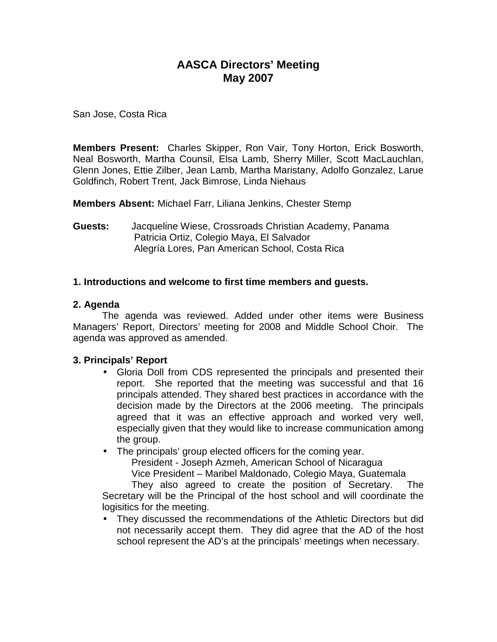# **AASCA Directors' Meeting May 2007**

San Jose, Costa Rica

**Members Present:** Charles Skipper, Ron Vair, Tony Horton, Erick Bosworth, Neal Bosworth, Martha Counsil, Elsa Lamb, Sherry Miller, Scott MacLauchlan, Glenn Jones, Ettie Zilber, Jean Lamb, Martha Maristany, Adolfo Gonzalez, Larue Goldfinch, Robert Trent, Jack Bimrose, Linda Niehaus

**Members Absent:** Michael Farr, Liliana Jenkins, Chester Stemp

**Guests:** Jacqueline Wiese, Crossroads Christian Academy, Panama Patricia Ortiz, Colegio Maya, El Salvador Alegría Lores, Pan American School, Costa Rica

# **1. Introductions and welcome to first time members and guests.**

# **2. Agenda**

 The agenda was reviewed. Added under other items were Business Managers' Report, Directors' meeting for 2008 and Middle School Choir. The agenda was approved as amended.

# **3. Principals' Report**

- Gloria Doll from CDS represented the principals and presented their report. She reported that the meeting was successful and that 16 principals attended. They shared best practices in accordance with the decision made by the Directors at the 2006 meeting. The principals agreed that it was an effective approach and worked very well, especially given that they would like to increase communication among the group.
- The principals' group elected officers for the coming year.

President - Joseph Azmeh, American School of Nicaragua

Vice President – Maribel Maldonado, Colegio Maya, Guatemala

 They also agreed to create the position of Secretary. The Secretary will be the Principal of the host school and will coordinate the logisitics for the meeting.

• They discussed the recommendations of the Athletic Directors but did not necessarily accept them. They did agree that the AD of the host school represent the AD's at the principals' meetings when necessary.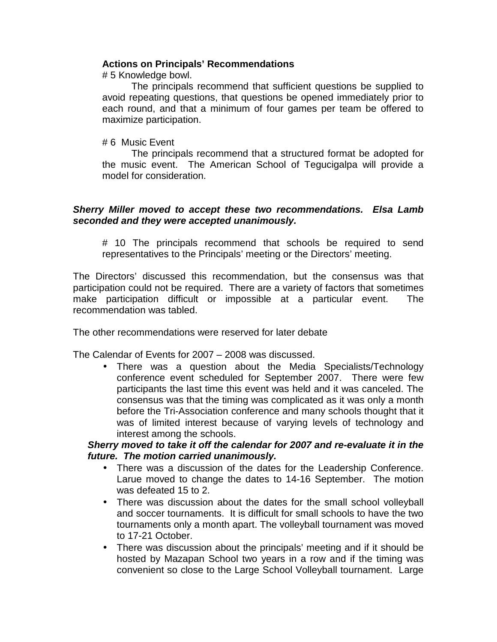# **Actions on Principals' Recommendations**

# 5 Knowledge bowl.

 The principals recommend that sufficient questions be supplied to avoid repeating questions, that questions be opened immediately prior to each round, and that a minimum of four games per team be offered to maximize participation.

#### # 6 Music Event

 The principals recommend that a structured format be adopted for the music event. The American School of Tegucigalpa will provide a model for consideration.

#### **Sherry Miller moved to accept these two recommendations. Elsa Lamb seconded and they were accepted unanimously.**

# 10 The principals recommend that schools be required to send representatives to the Principals' meeting or the Directors' meeting.

The Directors' discussed this recommendation, but the consensus was that participation could not be required. There are a variety of factors that sometimes make participation difficult or impossible at a particular event. The recommendation was tabled.

The other recommendations were reserved for later debate

The Calendar of Events for 2007 – 2008 was discussed.

• There was a question about the Media Specialists/Technology conference event scheduled for September 2007. There were few participants the last time this event was held and it was canceled. The consensus was that the timing was complicated as it was only a month before the Tri-Association conference and many schools thought that it was of limited interest because of varying levels of technology and interest among the schools.

# **Sherry moved to take it off the calendar for 2007 and re-evaluate it in the future. The motion carried unanimously.**

- There was a discussion of the dates for the Leadership Conference. Larue moved to change the dates to 14-16 September. The motion was defeated 15 to 2.
- There was discussion about the dates for the small school volleyball and soccer tournaments. It is difficult for small schools to have the two tournaments only a month apart. The volleyball tournament was moved to 17-21 October.
- There was discussion about the principals' meeting and if it should be hosted by Mazapan School two years in a row and if the timing was convenient so close to the Large School Volleyball tournament. Large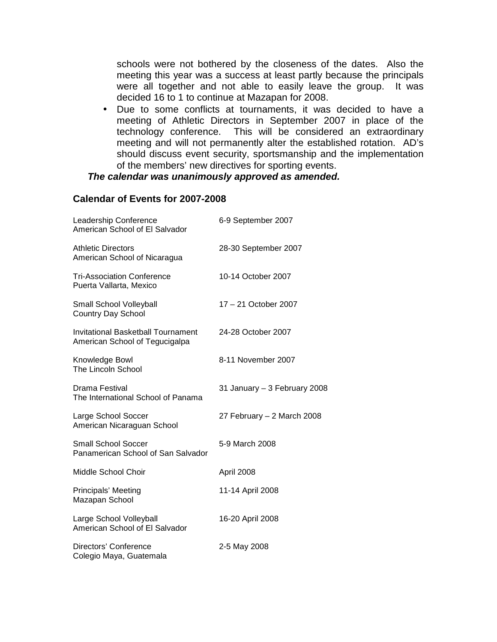schools were not bothered by the closeness of the dates. Also the meeting this year was a success at least partly because the principals were all together and not able to easily leave the group. It was decided 16 to 1 to continue at Mazapan for 2008.

• Due to some conflicts at tournaments, it was decided to have a meeting of Athletic Directors in September 2007 in place of the technology conference. This will be considered an extraordinary meeting and will not permanently alter the established rotation. AD's should discuss event security, sportsmanship and the implementation of the members' new directives for sporting events.

### **The calendar was unanimously approved as amended.**

#### **Calendar of Events for 2007-2008**

| Leadership Conference<br>American School of El Salvador                     | 6-9 September 2007           |
|-----------------------------------------------------------------------------|------------------------------|
| <b>Athletic Directors</b><br>American School of Nicaragua                   | 28-30 September 2007         |
| <b>Tri-Association Conference</b><br>Puerta Vallarta, Mexico                | 10-14 October 2007           |
| Small School Volleyball<br><b>Country Day School</b>                        | 17 - 21 October 2007         |
| <b>Invitational Basketball Tournament</b><br>American School of Tegucigalpa | 24-28 October 2007           |
| Knowledge Bowl<br>The Lincoln School                                        | 8-11 November 2007           |
| Drama Festival<br>The International School of Panama                        | 31 January - 3 February 2008 |
| Large School Soccer<br>American Nicaraguan School                           | 27 February - 2 March 2008   |
| <b>Small School Soccer</b><br>Panamerican School of San Salvador            | 5-9 March 2008               |
| Middle School Choir                                                         | April 2008                   |
| Principals' Meeting<br>Mazapan School                                       | 11-14 April 2008             |
| Large School Volleyball<br>American School of El Salvador                   | 16-20 April 2008             |
| Directors' Conference<br>Colegio Maya, Guatemala                            | 2-5 May 2008                 |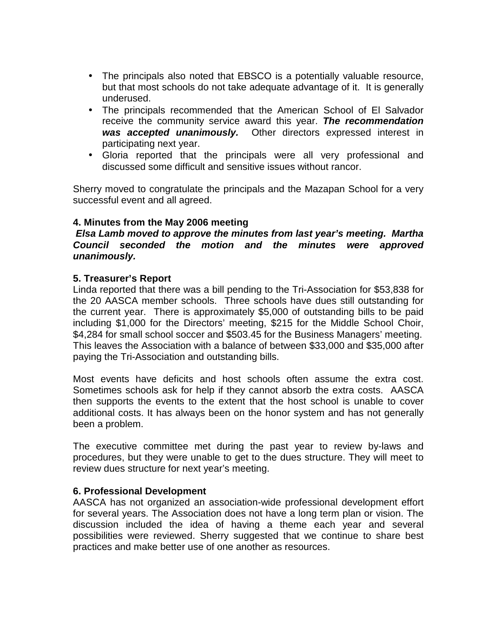- The principals also noted that EBSCO is a potentially valuable resource, but that most schools do not take adequate advantage of it. It is generally underused.
- The principals recommended that the American School of El Salvador receive the community service award this year. **The recommendation was accepted unanimously.** Other directors expressed interest in participating next year.
- Gloria reported that the principals were all very professional and discussed some difficult and sensitive issues without rancor.

Sherry moved to congratulate the principals and the Mazapan School for a very successful event and all agreed.

# **4. Minutes from the May 2006 meeting**

# **Elsa Lamb moved to approve the minutes from last year's meeting. Martha Council seconded the motion and the minutes were approved unanimously.**

# **5. Treasurer's Report**

Linda reported that there was a bill pending to the Tri-Association for \$53,838 for the 20 AASCA member schools. Three schools have dues still outstanding for the current year. There is approximately \$5,000 of outstanding bills to be paid including \$1,000 for the Directors' meeting, \$215 for the Middle School Choir, \$4,284 for small school soccer and \$503.45 for the Business Managers' meeting. This leaves the Association with a balance of between \$33,000 and \$35,000 after paying the Tri-Association and outstanding bills.

Most events have deficits and host schools often assume the extra cost. Sometimes schools ask for help if they cannot absorb the extra costs. AASCA then supports the events to the extent that the host school is unable to cover additional costs. It has always been on the honor system and has not generally been a problem.

The executive committee met during the past year to review by-laws and procedures, but they were unable to get to the dues structure. They will meet to review dues structure for next year's meeting.

#### **6. Professional Development**

AASCA has not organized an association-wide professional development effort for several years. The Association does not have a long term plan or vision. The discussion included the idea of having a theme each year and several possibilities were reviewed. Sherry suggested that we continue to share best practices and make better use of one another as resources.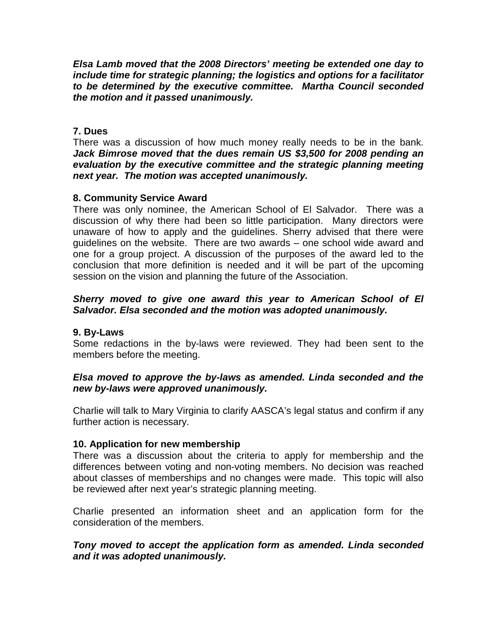**Elsa Lamb moved that the 2008 Directors' meeting be extended one day to include time for strategic planning; the logistics and options for a facilitator to be determined by the executive committee. Martha Council seconded the motion and it passed unanimously.** 

# **7. Dues**

There was a discussion of how much money really needs to be in the bank. **Jack Bimrose moved that the dues remain US \$3,500 for 2008 pending an evaluation by the executive committee and the strategic planning meeting next year. The motion was accepted unanimously.** 

# **8. Community Service Award**

There was only nominee, the American School of El Salvador. There was a discussion of why there had been so little participation. Many directors were unaware of how to apply and the guidelines. Sherry advised that there were guidelines on the website. There are two awards – one school wide award and one for a group project. A discussion of the purposes of the award led to the conclusion that more definition is needed and it will be part of the upcoming session on the vision and planning the future of the Association.

# **Sherry moved to give one award this year to American School of El Salvador. Elsa seconded and the motion was adopted unanimously.**

# **9. By-Laws**

Some redactions in the by-laws were reviewed. They had been sent to the members before the meeting.

# **Elsa moved to approve the by-laws as amended. Linda seconded and the new by-laws were approved unanimously.**

Charlie will talk to Mary Virginia to clarify AASCA's legal status and confirm if any further action is necessary.

# **10. Application for new membership**

There was a discussion about the criteria to apply for membership and the differences between voting and non-voting members. No decision was reached about classes of memberships and no changes were made. This topic will also be reviewed after next year's strategic planning meeting.

Charlie presented an information sheet and an application form for the consideration of the members.

# **Tony moved to accept the application form as amended. Linda seconded and it was adopted unanimously.**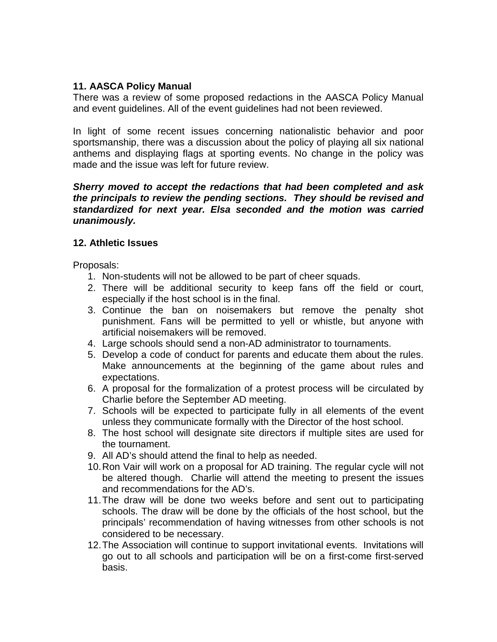# **11. AASCA Policy Manual**

There was a review of some proposed redactions in the AASCA Policy Manual and event guidelines. All of the event guidelines had not been reviewed.

In light of some recent issues concerning nationalistic behavior and poor sportsmanship, there was a discussion about the policy of playing all six national anthems and displaying flags at sporting events. No change in the policy was made and the issue was left for future review.

### **Sherry moved to accept the redactions that had been completed and ask the principals to review the pending sections. They should be revised and standardized for next year. Elsa seconded and the motion was carried unanimously.**

# **12. Athletic Issues**

Proposals:

- 1. Non-students will not be allowed to be part of cheer squads.
- 2. There will be additional security to keep fans off the field or court, especially if the host school is in the final.
- 3. Continue the ban on noisemakers but remove the penalty shot punishment. Fans will be permitted to yell or whistle, but anyone with artificial noisemakers will be removed.
- 4. Large schools should send a non-AD administrator to tournaments.
- 5. Develop a code of conduct for parents and educate them about the rules. Make announcements at the beginning of the game about rules and expectations.
- 6. A proposal for the formalization of a protest process will be circulated by Charlie before the September AD meeting.
- 7. Schools will be expected to participate fully in all elements of the event unless they communicate formally with the Director of the host school.
- 8. The host school will designate site directors if multiple sites are used for the tournament.
- 9. All AD's should attend the final to help as needed.
- 10. Ron Vair will work on a proposal for AD training. The regular cycle will not be altered though. Charlie will attend the meeting to present the issues and recommendations for the AD's.
- 11. The draw will be done two weeks before and sent out to participating schools. The draw will be done by the officials of the host school, but the principals' recommendation of having witnesses from other schools is not considered to be necessary.
- 12. The Association will continue to support invitational events. Invitations will go out to all schools and participation will be on a first-come first-served basis.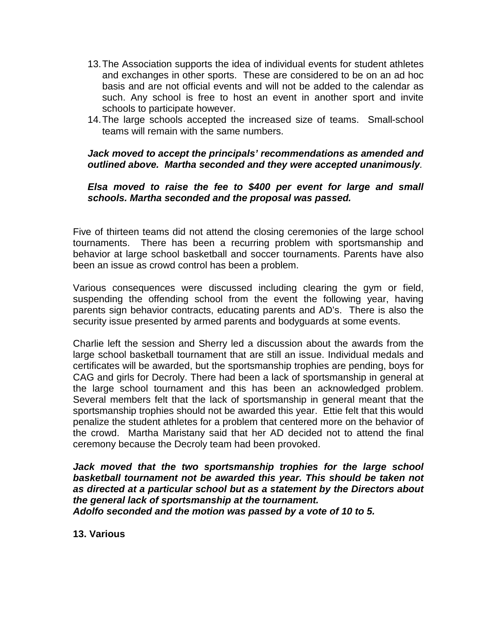- 13. The Association supports the idea of individual events for student athletes and exchanges in other sports. These are considered to be on an ad hoc basis and are not official events and will not be added to the calendar as such. Any school is free to host an event in another sport and invite schools to participate however.
- 14. The large schools accepted the increased size of teams. Small-school teams will remain with the same numbers.

# **Jack moved to accept the principals' recommendations as amended and outlined above. Martha seconded and they were accepted unanimously**.

# **Elsa moved to raise the fee to \$400 per event for large and small schools. Martha seconded and the proposal was passed.**

Five of thirteen teams did not attend the closing ceremonies of the large school tournaments. There has been a recurring problem with sportsmanship and behavior at large school basketball and soccer tournaments. Parents have also been an issue as crowd control has been a problem.

Various consequences were discussed including clearing the gym or field, suspending the offending school from the event the following year, having parents sign behavior contracts, educating parents and AD's. There is also the security issue presented by armed parents and bodyguards at some events.

Charlie left the session and Sherry led a discussion about the awards from the large school basketball tournament that are still an issue. Individual medals and certificates will be awarded, but the sportsmanship trophies are pending, boys for CAG and girls for Decroly. There had been a lack of sportsmanship in general at the large school tournament and this has been an acknowledged problem. Several members felt that the lack of sportsmanship in general meant that the sportsmanship trophies should not be awarded this year. Ettie felt that this would penalize the student athletes for a problem that centered more on the behavior of the crowd. Martha Maristany said that her AD decided not to attend the final ceremony because the Decroly team had been provoked.

**Jack moved that the two sportsmanship trophies for the large school basketball tournament not be awarded this year. This should be taken not as directed at a particular school but as a statement by the Directors about the general lack of sportsmanship at the tournament. Adolfo seconded and the motion was passed by a vote of 10 to 5.** 

**13. Various**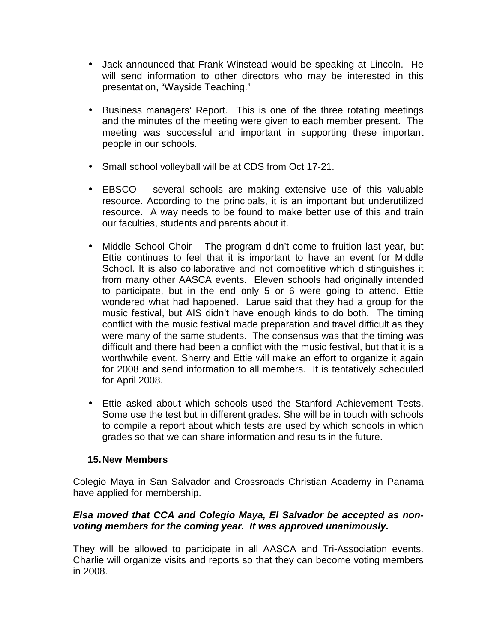- Jack announced that Frank Winstead would be speaking at Lincoln. He will send information to other directors who may be interested in this presentation, "Wayside Teaching."
- Business managers' Report. This is one of the three rotating meetings and the minutes of the meeting were given to each member present. The meeting was successful and important in supporting these important people in our schools.
- Small school volleyball will be at CDS from Oct 17-21.
- EBSCO several schools are making extensive use of this valuable resource. According to the principals, it is an important but underutilized resource. A way needs to be found to make better use of this and train our faculties, students and parents about it.
- Middle School Choir The program didn't come to fruition last year, but Ettie continues to feel that it is important to have an event for Middle School. It is also collaborative and not competitive which distinguishes it from many other AASCA events. Eleven schools had originally intended to participate, but in the end only 5 or 6 were going to attend. Ettie wondered what had happened. Larue said that they had a group for the music festival, but AIS didn't have enough kinds to do both. The timing conflict with the music festival made preparation and travel difficult as they were many of the same students. The consensus was that the timing was difficult and there had been a conflict with the music festival, but that it is a worthwhile event. Sherry and Ettie will make an effort to organize it again for 2008 and send information to all members. It is tentatively scheduled for April 2008.
- Ettie asked about which schools used the Stanford Achievement Tests. Some use the test but in different grades. She will be in touch with schools to compile a report about which tests are used by which schools in which grades so that we can share information and results in the future.

# **15. New Members**

Colegio Maya in San Salvador and Crossroads Christian Academy in Panama have applied for membership.

# **Elsa moved that CCA and Colegio Maya, El Salvador be accepted as nonvoting members for the coming year. It was approved unanimously.**

They will be allowed to participate in all AASCA and Tri-Association events. Charlie will organize visits and reports so that they can become voting members in 2008.